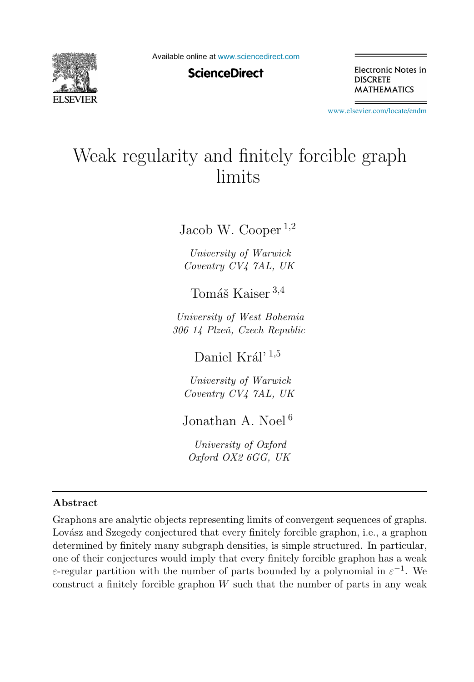

Available online at [www.sciencedirect.com](http://www.sciencedirect.com)

## **ScienceDirect**

Electronic Notes in **DISCRETE MATHEMATICS** 

[www.elsevier.com/locate/endm](http://www.elsevier.com/locate/endm)

# Weak regularity and finitely forcible graph limits

Jacob W. Cooper  $^{1,2}$ 

University of Warwick Coventry CV4 7AL, UK

Tomáš Kaiser  $3,4$ 

University of West Bohemia 306 14 Plzeň, Czech Republic

Daniel Král' <sup>1,5</sup>

University of Warwick Coventry CV4 7AL, UK

Jonathan A. Noel<sup>6</sup>

University of Oxford Oxford OX2 6GG, UK

#### Abstract

Graphons are analytic objects representing limits of convergent sequences of graphs. Lovász and Szegedy conjectured that every finitely forcible graphon, i.e., a graphon determined by finitely many subgraph densities, is simple structured. In particular, one of their conjectures would imply that every finitely forcible graphon has a weak ε-regular partition with the number of parts bounded by a polynomial in  $\varepsilon^{-1}$ . We construct a finitely forcible graphon  $W$  such that the number of parts in any weak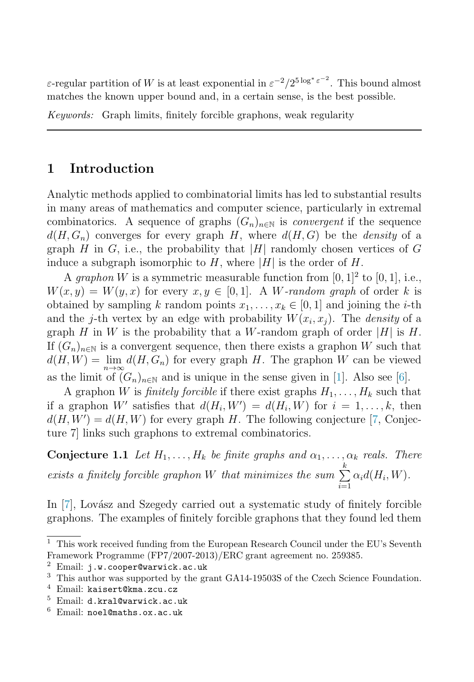ε-regular partition of W is at least exponential in  $\varepsilon^{-2}/2^{5 \log^* \varepsilon^{-2}}$ . This bound almost matches the known upper bound and, in a certain sense, is the best possible.

Keywords: Graph limits, finitely forcible graphons, weak regularity

# 1 Introduction

Analytic methods applied to combinatorial limits has led to substantial results in many areas of mathematics and computer science, particularly in extremal combinatorics. A sequence of graphs  $(G_n)_{n\in\mathbb{N}}$  is *convergent* if the sequence  $d(H, G_n)$  converges for every graph H, where  $d(H, G)$  be the *density* of a graph H in G, i.e., the probability that |H| randomly chosen vertices of G induce a subgraph isomorphic to H, where |H| is the order of H.

A *graphon* W is a symmetric measurable function from  $[0, 1]^2$  to  $[0, 1]$ , i.e.,  $W(x, y) = W(y, x)$  for every  $x, y \in [0, 1]$ . A W-random graph of order k is obtained by sampling k random points  $x_1, \ldots, x_k \in [0, 1]$  and joining the *i*-th and the j-th vertex by an edge with probability  $W(x_i, x_i)$ . The *density* of a graph H in W is the probability that a W-random graph of order |H| is H. If  $(G_n)_{n\in\mathbb{N}}$  is a convergent sequence, then there exists a graphon W such that  $d(H, W) = \lim_{n \to \infty} d(H, G_n)$  for every graph H. The graphon W can be viewed as the limit of  $(G_n)_{n\in\mathbb{N}}$  and is unique in the sense given in [\[1\]](#page-4-0). Also see [\[6\]](#page-4-1).

A graphon W is *finitely forcible* if there exist graphs  $H_1, \ldots, H_k$  such that if a graphon W' satisfies that  $d(H_i, W') = d(H_i, W)$  for  $i = 1, ..., k$ , then  $d(H, W') = d(H, W)$  for every graph H. The following conjecture [\[7,](#page-4-2) Conjecture 7] links such graphons to extremal combinatorics.

**Conjecture 1.1** Let  $H_1, \ldots, H_k$  be finite graphs and  $\alpha_1, \ldots, \alpha_k$  reals. There exists a finitely forcible graphon W that minimizes the sum  $\sum^k$  $i=1$  $\alpha_i d(H_i, W)$ .

In  $[7]$ , Lovász and Szegedy carried out a systematic study of finitely forcible graphons. The examples of finitely forcible graphons that they found led them

 $1$  This work received funding from the European Research Council under the EU's Seventh Framework Programme (FP7/2007-2013)/ERC grant agreement no. 259385.

Email: j.w.cooper@warwick.ac.uk

<sup>&</sup>lt;sup>3</sup> This author was supported by the grant GA14-19503S of the Czech Science Foundation.<br><sup>4</sup> Email: kaisert@kma\_zcu\_cz

<sup>4</sup> Email: kaisert@kma.zcu.cz

<sup>5</sup> Email: d.kral@warwick.ac.uk

 $6$  Email: noel@maths.ox.ac.uk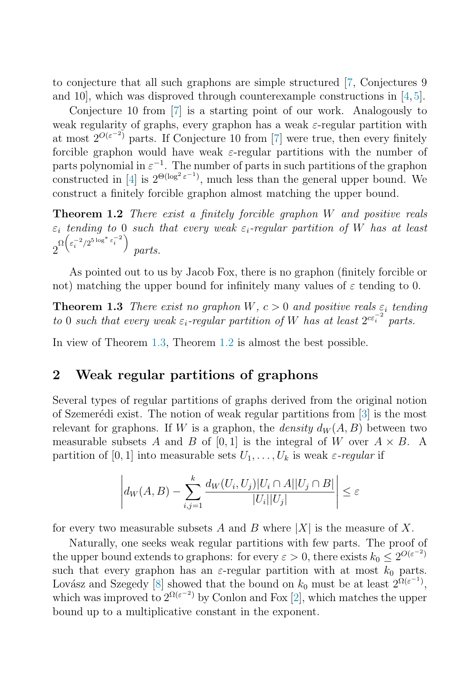to conjecture that all such graphons are simple structured [\[7,](#page-4-2) Conjectures 9 and 10, which was disproved through counterexample constructions in  $[4, 5]$  $[4, 5]$  $[4, 5]$ .

<span id="page-2-1"></span>Conjecture 10 from [\[7\]](#page-4-2) is a starting point of our work. Analogously to weak regularity of graphs, every graphon has a weak  $\varepsilon$ -regular partition with at most  $2^{O(\varepsilon^{-2})}$  parts. If Conjecture 10 from [\[7\]](#page-4-2) were true, then every finitely forcible graphon would have weak  $\varepsilon$ -regular partitions with the number of parts polynomial in  $\varepsilon^{-1}$ . The number of parts in such partitions of the graphon constructed in [\[4\]](#page-4-3) is  $2^{\Theta(\log^2 \epsilon^{-1})}$ , much less than the general upper bound. We construct a finitely forcible graphon almost matching the upper bound.

<span id="page-2-0"></span>**Theorem 1.2** There exist a finitely forcible graphon  $W$  and positive reals  $\varepsilon_i$  tending to 0 such that every weak  $\varepsilon_i$ -regular partition of W has at least  $2^{\Omega\left(\varepsilon_i^{-2}/2^{5\log^* \varepsilon_i^{-2}}\right)}$ parts.

As pointed out to us by Jacob Fox, there is no graphon (finitely forcible or not) matching the upper bound for infinitely many values of  $\varepsilon$  tending to 0.

**Theorem 1.3** There exist no graphon W,  $c > 0$  and positive reals  $\varepsilon_i$  tending to 0 such that every weak  $\varepsilon_i$ -regular partition of W has at least  $2^{c\varepsilon_i^{-2}}$  parts.

In view of Theorem [1.3,](#page-2-0) Theorem [1.2](#page-2-1) is almost the best possible.

## 2 Weak regular partitions of graphons

Several types of regular partitions of graphs derived from the original notion of Szemerédi exist. The notion of weak regular partitions from  $[3]$  is the most relevant for graphons. If W is a graphon, the *density*  $d_W(A, B)$  between two measurable subsets A and B of [0,1] is the integral of W over  $A \times B$ . A partition of [0, 1] into measurable sets  $U_1, \ldots, U_k$  is weak  $\varepsilon$ -regular if

$$
\left| d_W(A, B) - \sum_{i,j=1}^k \frac{d_W(U_i, U_j)|U_i \cap A||U_j \cap B|}{|U_i||U_j|} \right| \le \varepsilon
$$

for every two measurable subsets A and B where  $|X|$  is the measure of X.

Naturally, one seeks weak regular partitions with few parts. The proof of the upper bound extends to graphons: for every  $\varepsilon > 0$ , there exists  $k_0 \leq 2^{O(\varepsilon^{-2})}$ such that every graphon has an  $\varepsilon$ -regular partition with at most  $k_0$  parts. Lovász and Szegedy [\[8\]](#page-4-6) showed that the bound on  $k_0$  must be at least  $2^{\Omega(\varepsilon^{-1})}$ , which was improved to  $2^{\Omega(\varepsilon^{-2})}$  by Conlon and Fox [\[2\]](#page-4-7), which matches the upper bound up to a multiplicative constant in the exponent.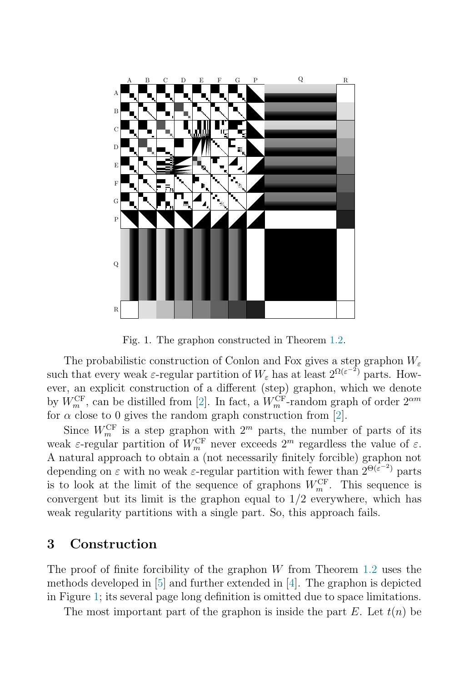

<span id="page-3-0"></span>Fig. 1. The graphon constructed in Theorem [1.2.](#page-2-1)

The probabilistic construction of Conlon and Fox gives a step graphon  $W_{\varepsilon}$ such that every weak  $\varepsilon$ -regular partition of  $W_{\varepsilon}$  has at least  $2^{\Omega(\varepsilon^{-2})}$  parts. However, an explicit construction of a different (step) graphon, which we denote by  $W_m^{\text{CF}}$ , can be distilled from [\[2\]](#page-4-7). In fact, a  $W_m^{\text{CF}}$ -random graph of order  $2^{\alpha m}$ for  $\alpha$  close to 0 gives the random graph construction from [\[2\]](#page-4-7).

Since  $W_m^{\text{CF}}$  is a step graphon with  $2^m$  parts, the number of parts of its weak  $\varepsilon$ -regular partition of  $W_m^{\text{CF}}$  never exceeds  $2^m$  regardless the value of  $\varepsilon$ . A natural approach to obtain a (not necessarily finitely forcible) graphon not depending on  $\varepsilon$  with no weak  $\varepsilon$ -regular partition with fewer than  $2^{\Theta(\varepsilon^{-2})}$  parts is to look at the limit of the sequence of graphons  $W_m^{\text{CF}}$ . This sequence is convergent but its limit is the graphon equal to  $1/2$  everywhere, which has weak regularity partitions with a single part. So, this approach fails.

#### 3 Construction

The proof of finite forcibility of the graphon  $W$  from Theorem [1.2](#page-2-1) uses the methods developed in  $[5]$  and further extended in  $[4]$ . The graphon is depicted in Figure [1;](#page-3-0) its several page long definition is omitted due to space limitations.

The most important part of the graphon is inside the part  $E$ . Let  $t(n)$  be